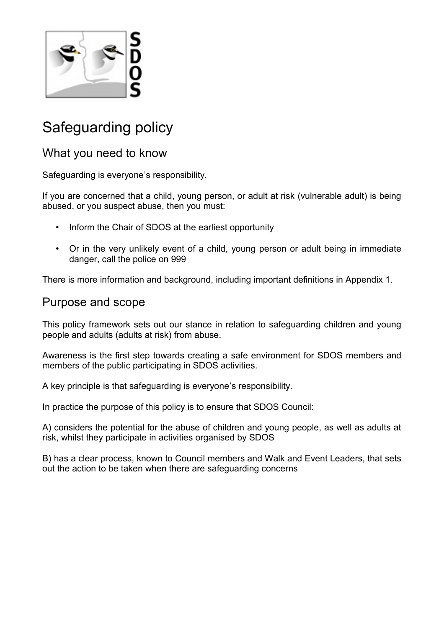

# Safeguarding policy

### What you need to know

Safeguarding is everyone's responsibility.

If you are concerned that a child, young person, or adult at risk (vulnerable adult) is being abused, or you suspect abuse, then you must:

- Inform the Chair of SDOS at the earliest opportunity
- Or in the very unlikely event of a child, young person or adult being in immediate danger, call the police on 999

There is more information and background, including important definitions in Appendix 1.

### Purpose and scope

This policy framework sets out our stance in relation to safeguarding children and young people and adults (adults at risk) from abuse.

Awareness is the first step towards creating a safe environment for SDOS members and members of the public participating in SDOS activities.

A key principle is that safeguarding is everyone's responsibility.

In practice the purpose of this policy is to ensure that SDOS Council:

A) considers the potential for the abuse of children and young people, as well as adults at risk, whilst they participate in activities organised by SDOS

B) has a clear process, known to Council members and Walk and Event Leaders, that sets out the action to be taken when there are safeguarding concerns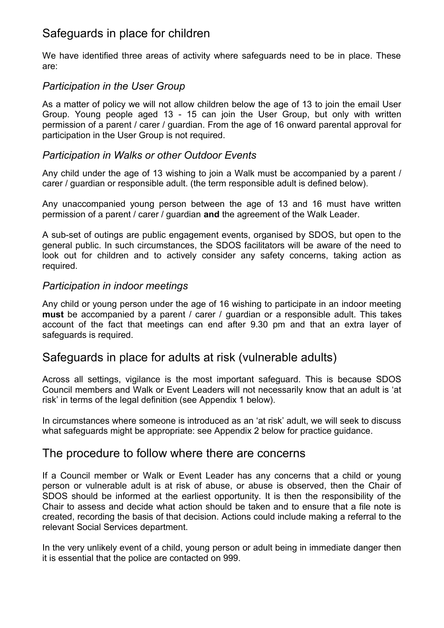# Safeguards in place for children

We have identified three areas of activity where safeguards need to be in place. These are:

#### *Participation in the User Group*

As a matter of policy we will not allow children below the age of 13 to join the email User Group. Young people aged 13 - 15 can join the User Group, but only with written permission of a parent / carer / guardian. From the age of 16 onward parental approval for participation in the User Group is not required.

#### *Participation in Walks or other Outdoor Events*

Any child under the age of 13 wishing to join a Walk must be accompanied by a parent / carer / guardian or responsible adult. (the term responsible adult is defined below).

Any unaccompanied young person between the age of 13 and 16 must have written permission of a parent / carer / guardian **and** the agreement of the Walk Leader.

A sub-set of outings are public engagement events, organised by SDOS, but open to the general public. In such circumstances, the SDOS facilitators will be aware of the need to look out for children and to actively consider any safety concerns, taking action as required.

#### *Participation in indoor meetings*

Any child or young person under the age of 16 wishing to participate in an indoor meeting **must** be accompanied by a parent / carer / guardian or a responsible adult. This takes account of the fact that meetings can end after 9.30 pm and that an extra layer of safeguards is required.

### Safeguards in place for adults at risk (vulnerable adults)

Across all settings, vigilance is the most important safeguard. This is because SDOS Council members and Walk or Event Leaders will not necessarily know that an adult is 'at risk' in terms of the legal definition (see Appendix 1 below).

In circumstances where someone is introduced as an 'at risk' adult, we will seek to discuss what safeguards might be appropriate: see Appendix 2 below for practice guidance.

#### The procedure to follow where there are concerns

If a Council member or Walk or Event Leader has any concerns that a child or young person or vulnerable adult is at risk of abuse, or abuse is observed, then the Chair of SDOS should be informed at the earliest opportunity. It is then the responsibility of the Chair to assess and decide what action should be taken and to ensure that a file note is created, recording the basis of that decision. Actions could include making a referral to the relevant Social Services department.

In the very unlikely event of a child, young person or adult being in immediate danger then it is essential that the police are contacted on 999.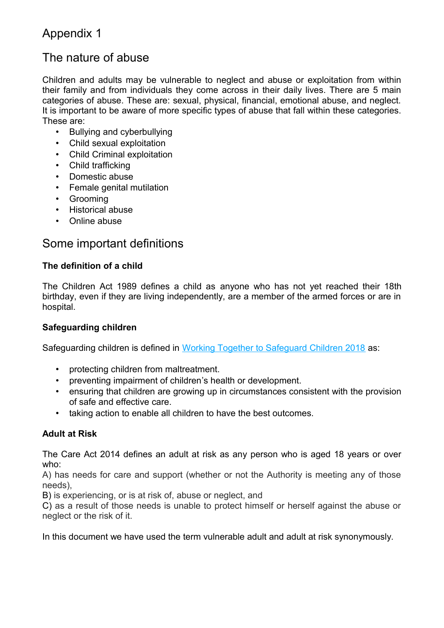# Appendix 1

## The nature of abuse

Children and adults may be vulnerable to neglect and abuse or exploitation from within their family and from individuals they come across in their daily lives. There are 5 main categories of abuse. These are: sexual, physical, financial, emotional abuse, and neglect. It is important to be aware of more specific types of abuse that fall within these categories. These are:

- Bullying and cyberbullying
- Child sexual exploitation
- Child Criminal exploitation
- Child trafficking
- Domestic abuse
- Female genital mutilation
- Grooming
- Historical abuse
- Online abuse

## Some important definitions

#### **The definition of a child**

The Children Act 1989 defines a child as anyone who has not yet reached their 18th birthday, even if they are living independently, are a member of the armed forces or are in hospital.

#### **Safeguarding children**

Safeguarding children is defined in [Working Together to Safeguard Children 2018](https://www.gov.uk/government/publications/working-together-to-safeguard-children--2) as:

- protecting children from maltreatment.
- preventing impairment of children's health or development.
- ensuring that children are growing up in circumstances consistent with the provision of safe and effective care.
- taking action to enable all children to have the best outcomes.

#### **Adult at Risk**

The Care Act 2014 defines an adult at risk as any person who is aged 18 years or over who:

A) has needs for care and support (whether or not the Authority is meeting any of those needs),

B) is experiencing, or is at risk of, abuse or neglect, and

C) as a result of those needs is unable to protect himself or herself against the abuse or neglect or the risk of it.

In this document we have used the term vulnerable adult and adult at risk synonymously.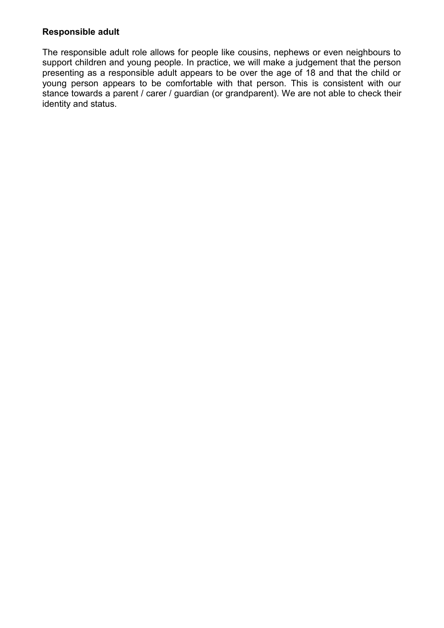#### **Responsible adult**

The responsible adult role allows for people like cousins, nephews or even neighbours to support children and young people. In practice, we will make a judgement that the person presenting as a responsible adult appears to be over the age of 18 and that the child or young person appears to be comfortable with that person. This is consistent with our stance towards a parent / carer / guardian (or grandparent). We are not able to check their identity and status.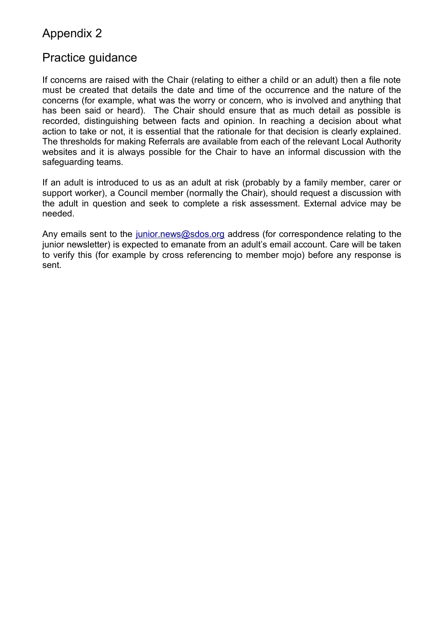# Appendix 2

### Practice guidance

If concerns are raised with the Chair (relating to either a child or an adult) then a file note must be created that details the date and time of the occurrence and the nature of the concerns (for example, what was the worry or concern, who is involved and anything that has been said or heard). The Chair should ensure that as much detail as possible is recorded, distinguishing between facts and opinion. In reaching a decision about what action to take or not, it is essential that the rationale for that decision is clearly explained. The thresholds for making Referrals are available from each of the relevant Local Authority websites and it is always possible for the Chair to have an informal discussion with the safeguarding teams.

If an adult is introduced to us as an adult at risk (probably by a family member, carer or support worker), a Council member (normally the Chair), should request a discussion with the adult in question and seek to complete a risk assessment. External advice may be needed.

Any emails sent to the [junior.news@sdos.org](mailto:junior.news@sdos.org) address (for correspondence relating to the junior newsletter) is expected to emanate from an adult's email account. Care will be taken to verify this (for example by cross referencing to member mojo) before any response is sent.